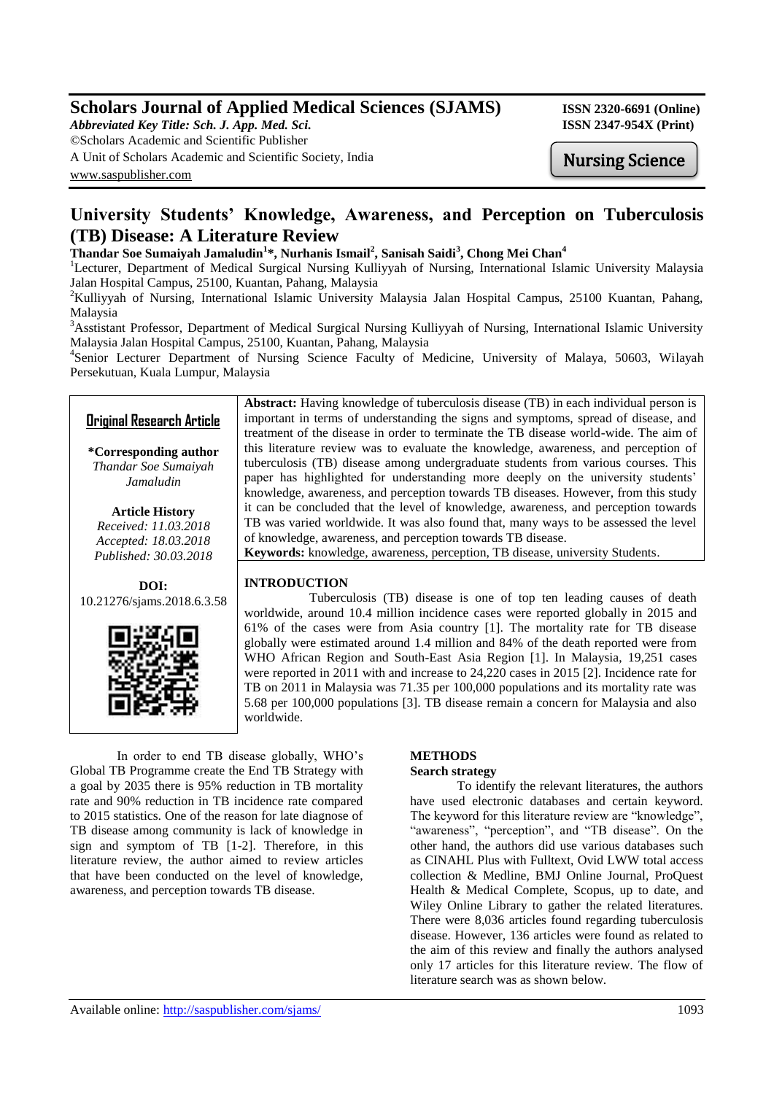# **Scholars Journal of Applied Medical Sciences (SJAMS) ISSN 2320-6691 (Online)**

*Abbreviated Key Title: Sch. J. App. Med. Sci.* **ISSN 2347-954X (Print)** ©Scholars Academic and Scientific Publisher A Unit of Scholars Academic and Scientific Society, India [www.saspublisher.com](http://www.saspublisher.com/)

Nursing Science

# **University Students' Knowledge, Awareness, and Perception on Tuberculosis (TB) Disease: A Literature Review**

# **Thandar Soe Sumaiyah Jamaludin<sup>1</sup> \*, Nurhanis Ismail<sup>2</sup> , Sanisah Saidi<sup>3</sup> , Chong Mei Chan<sup>4</sup>**

<sup>1</sup>Lecturer, Department of Medical Surgical Nursing Kulliyyah of Nursing, International Islamic University Malaysia Jalan Hospital Campus, 25100, Kuantan, Pahang, Malaysia

<sup>2</sup>Kulliyyah of Nursing, International Islamic University Malaysia Jalan Hospital Campus, 25100 Kuantan, Pahang, Malaysia

<sup>3</sup>Asstistant Professor, Department of Medical Surgical Nursing Kulliyyah of Nursing, International Islamic University Malaysia Jalan Hospital Campus, 25100, Kuantan, Pahang, Malaysia

4 Senior Lecturer Department of Nursing Science Faculty of Medicine, University of Malaya, 50603, Wilayah Persekutuan, Kuala Lumpur, Malaysia

# **Original Research Article**

**\*Corresponding author** *Thandar Soe Sumaiyah Jamaludin*

**Article History** *Received: 11.03.2018 Accepted: 18.03.2018 Published: 30.03.2018*

**DOI:** 10.21276/sjams.2018.6.3.58



**Abstract:** Having knowledge of tuberculosis disease (TB) in each individual person is important in terms of understanding the signs and symptoms, spread of disease, and treatment of the disease in order to terminate the TB disease world-wide. The aim of this literature review was to evaluate the knowledge, awareness, and perception of tuberculosis (TB) disease among undergraduate students from various courses. This paper has highlighted for understanding more deeply on the university students' knowledge, awareness, and perception towards TB diseases. However, from this study it can be concluded that the level of knowledge, awareness, and perception towards TB was varied worldwide. It was also found that, many ways to be assessed the level of knowledge, awareness, and perception towards TB disease.

**Keywords:** knowledge, awareness, perception, TB disease, university Students.

## **INTRODUCTION**

 Tuberculosis (TB) disease is one of top ten leading causes of death worldwide, around 10.4 million incidence cases were reported globally in 2015 and 61% of the cases were from Asia country [1]. The mortality rate for TB disease globally were estimated around 1.4 million and 84% of the death reported were from WHO African Region and South-East Asia Region [1]. In Malaysia, 19,251 cases were reported in 2011 with and increase to 24,220 cases in 2015 [2]. Incidence rate for TB on 2011 in Malaysia was 71.35 per 100,000 populations and its mortality rate was 5.68 per 100,000 populations [3]. TB disease remain a concern for Malaysia and also worldwide.

In order to end TB disease globally, WHO's Global TB Programme create the End TB Strategy with a goal by 2035 there is 95% reduction in TB mortality rate and 90% reduction in TB incidence rate compared to 2015 statistics. One of the reason for late diagnose of TB disease among community is lack of knowledge in sign and symptom of TB [1-2]. Therefore, in this literature review, the author aimed to review articles that have been conducted on the level of knowledge, awareness, and perception towards TB disease.

# **METHODS**

#### **Search strategy**

To identify the relevant literatures, the authors have used electronic databases and certain keyword. The keyword for this literature review are "knowledge", "awareness", "perception", and "TB disease". On the other hand, the authors did use various databases such as CINAHL Plus with Fulltext, Ovid LWW total access collection & Medline, BMJ Online Journal, ProQuest Health & Medical Complete, Scopus, up to date, and Wiley Online Library to gather the related literatures. There were 8,036 articles found regarding tuberculosis disease. However, 136 articles were found as related to the aim of this review and finally the authors analysed only 17 articles for this literature review. The flow of literature search was as shown below.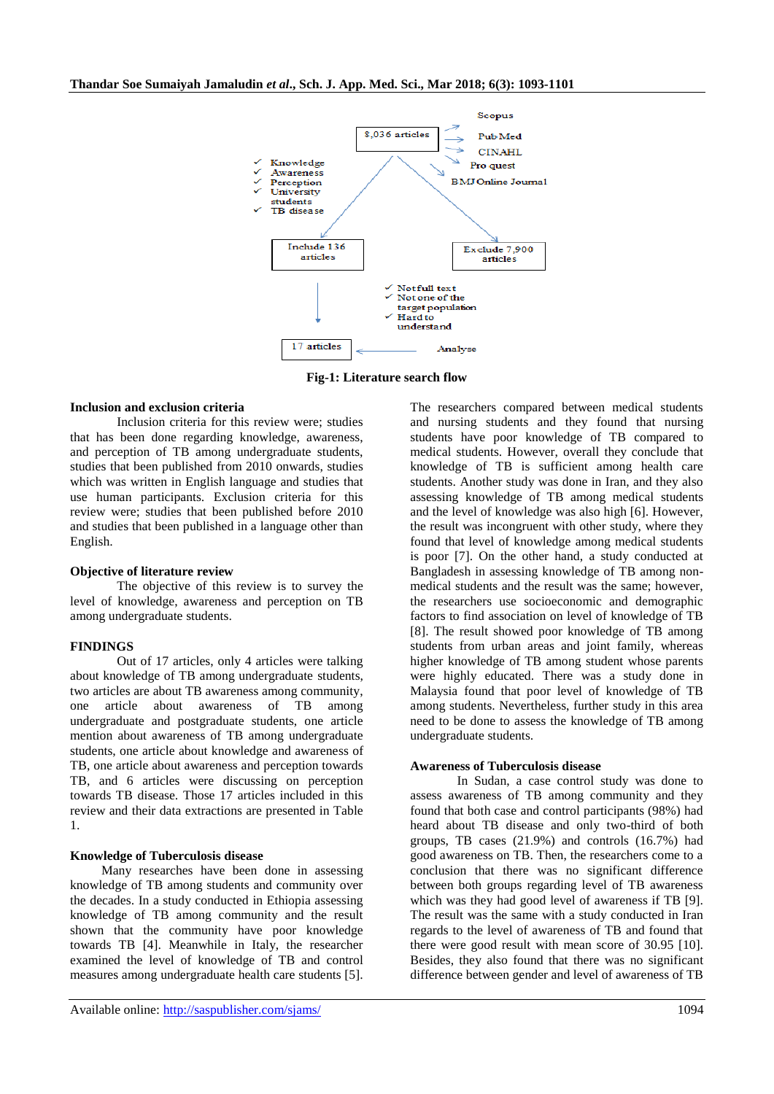

**Fig-1: Literature search flow**

#### **Inclusion and exclusion criteria**

Inclusion criteria for this review were; studies that has been done regarding knowledge, awareness, and perception of TB among undergraduate students, studies that been published from 2010 onwards, studies which was written in English language and studies that use human participants. Exclusion criteria for this review were; studies that been published before 2010 and studies that been published in a language other than English.

#### **Objective of literature review**

The objective of this review is to survey the level of knowledge, awareness and perception on TB among undergraduate students.

#### **FINDINGS**

Out of 17 articles, only 4 articles were talking about knowledge of TB among undergraduate students, two articles are about TB awareness among community, one article about awareness of TB among undergraduate and postgraduate students, one article mention about awareness of TB among undergraduate students, one article about knowledge and awareness of TB, one article about awareness and perception towards TB, and 6 articles were discussing on perception towards TB disease. Those 17 articles included in this review and their data extractions are presented in Table 1.

#### **Knowledge of Tuberculosis disease**

Many researches have been done in assessing knowledge of TB among students and community over the decades. In a study conducted in Ethiopia assessing knowledge of TB among community and the result shown that the community have poor knowledge towards TB [4]. Meanwhile in Italy, the researcher examined the level of knowledge of TB and control measures among undergraduate health care students [5].

The researchers compared between medical students and nursing students and they found that nursing students have poor knowledge of TB compared to medical students. However, overall they conclude that knowledge of TB is sufficient among health care students. Another study was done in Iran, and they also assessing knowledge of TB among medical students and the level of knowledge was also high [6]. However, the result was incongruent with other study, where they found that level of knowledge among medical students is poor [7]. On the other hand, a study conducted at Bangladesh in assessing knowledge of TB among nonmedical students and the result was the same; however, the researchers use socioeconomic and demographic factors to find association on level of knowledge of TB [8]. The result showed poor knowledge of TB among students from urban areas and joint family, whereas higher knowledge of TB among student whose parents were highly educated. There was a study done in Malaysia found that poor level of knowledge of TB among students. Nevertheless, further study in this area need to be done to assess the knowledge of TB among undergraduate students.

### **Awareness of Tuberculosis disease**

In Sudan, a case control study was done to assess awareness of TB among community and they found that both case and control participants (98%) had heard about TB disease and only two-third of both groups, TB cases (21.9%) and controls (16.7%) had good awareness on TB. Then, the researchers come to a conclusion that there was no significant difference between both groups regarding level of TB awareness which was they had good level of awareness if TB [9]. The result was the same with a study conducted in Iran regards to the level of awareness of TB and found that there were good result with mean score of 30.95 [10]. Besides, they also found that there was no significant difference between gender and level of awareness of TB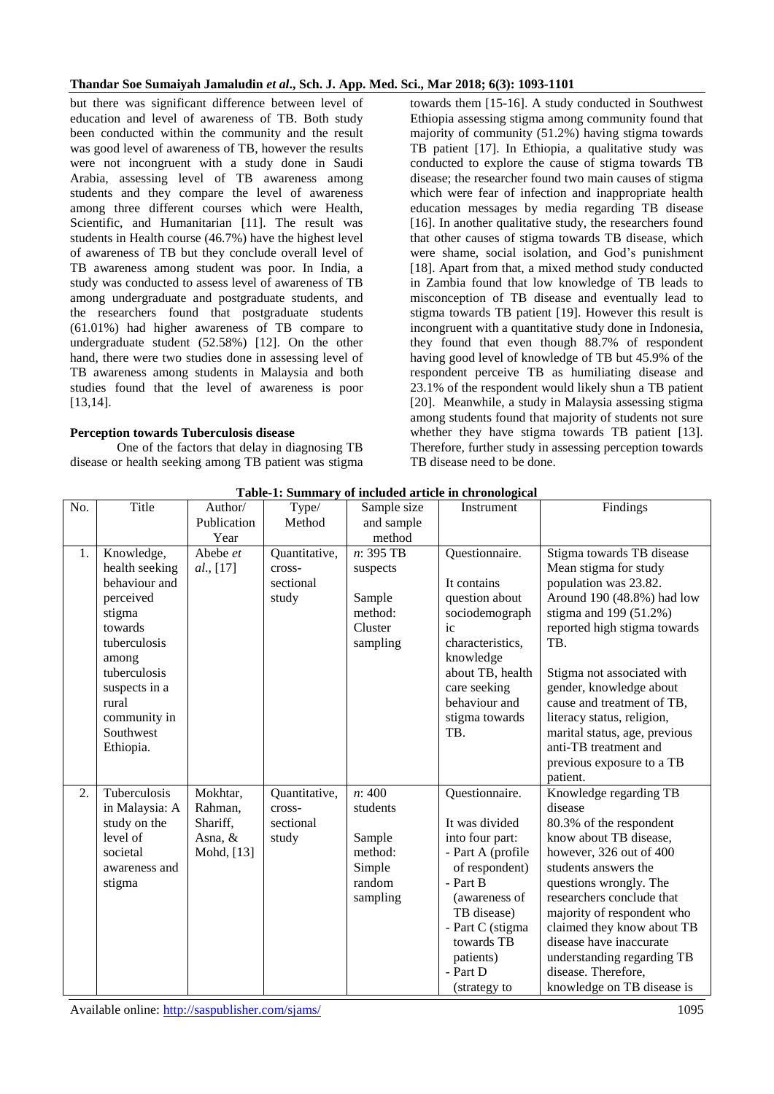but there was significant difference between level of education and level of awareness of TB. Both study been conducted within the community and the result was good level of awareness of TB, however the results were not incongruent with a study done in Saudi Arabia, assessing level of TB awareness among students and they compare the level of awareness among three different courses which were Health, Scientific, and Humanitarian [11]. The result was students in Health course (46.7%) have the highest level of awareness of TB but they conclude overall level of TB awareness among student was poor. In India, a study was conducted to assess level of awareness of TB among undergraduate and postgraduate students, and the researchers found that postgraduate students (61.01%) had higher awareness of TB compare to undergraduate student (52.58%) [12]. On the other hand, there were two studies done in assessing level of TB awareness among students in Malaysia and both studies found that the level of awareness is poor [13,14].

## **Perception towards Tuberculosis disease**

One of the factors that delay in diagnosing TB disease or health seeking among TB patient was stigma towards them [15-16]. A study conducted in Southwest Ethiopia assessing stigma among community found that majority of community (51.2%) having stigma towards TB patient [17]. In Ethiopia, a qualitative study was conducted to explore the cause of stigma towards TB disease; the researcher found two main causes of stigma which were fear of infection and inappropriate health education messages by media regarding TB disease [16]. In another qualitative study, the researchers found that other causes of stigma towards TB disease, which were shame, social isolation, and God's punishment [18]. Apart from that, a mixed method study conducted in Zambia found that low knowledge of TB leads to misconception of TB disease and eventually lead to stigma towards TB patient [19]. However this result is incongruent with a quantitative study done in Indonesia, they found that even though 88.7% of respondent having good level of knowledge of TB but 45.9% of the respondent perceive TB as humiliating disease and 23.1% of the respondent would likely shun a TB patient [20]. Meanwhile, a study in Malaysia assessing stigma among students found that majority of students not sure whether they have stigma towards TB patient [13]. Therefore, further study in assessing perception towards TB disease need to be done.

| No. | Title          | Author/     | Type/         | Sample size | Instrument        | Findings                      |
|-----|----------------|-------------|---------------|-------------|-------------------|-------------------------------|
|     |                | Publication | Method        | and sample  |                   |                               |
|     |                | Year        |               | method      |                   |                               |
| 1.  | Knowledge,     | Abebe et    | Quantitative, | n: 395 TB   | Questionnaire.    | Stigma towards TB disease     |
|     | health seeking | al., [17]   | cross-        | suspects    |                   | Mean stigma for study         |
|     | behaviour and  |             | sectional     |             | It contains       | population was 23.82.         |
|     | perceived      |             | study         | Sample      | question about    | Around 190 (48.8%) had low    |
|     | stigma         |             |               | method:     | sociodemograph    | stigma and $199(51.2%)$       |
|     | towards        |             |               | Cluster     | ic                | reported high stigma towards  |
|     | tuberculosis   |             |               | sampling    | characteristics,  | TB.                           |
|     | among          |             |               |             | knowledge         |                               |
|     | tuberculosis   |             |               |             | about TB, health  | Stigma not associated with    |
|     | suspects in a  |             |               |             | care seeking      | gender, knowledge about       |
|     | rural          |             |               |             | behaviour and     | cause and treatment of TB,    |
|     | community in   |             |               |             | stigma towards    | literacy status, religion,    |
|     | Southwest      |             |               |             | TB.               | marital status, age, previous |
|     | Ethiopia.      |             |               |             |                   | anti-TB treatment and         |
|     |                |             |               |             |                   | previous exposure to a TB     |
|     |                |             |               |             |                   | patient.                      |
| 2.  | Tuberculosis   | Mokhtar,    | Quantitative, | n:400       | Questionnaire.    | Knowledge regarding TB        |
|     | in Malaysia: A | Rahman,     | cross-        | students    |                   | disease                       |
|     | study on the   | Shariff,    | sectional     |             | It was divided    | 80.3% of the respondent       |
|     | level of       | Asna, $&$   | study         | Sample      | into four part:   | know about TB disease,        |
|     | societal       | Mohd, [13]  |               | method:     | - Part A (profile | however, 326 out of 400       |
|     | awareness and  |             |               | Simple      | of respondent)    | students answers the          |
|     | stigma         |             |               | random      | - Part B          | questions wrongly. The        |
|     |                |             |               | sampling    | (awareness of     | researchers conclude that     |
|     |                |             |               |             | TB disease)       | majority of respondent who    |
|     |                |             |               |             | - Part C (stigma  | claimed they know about TB    |
|     |                |             |               |             | towards TB        | disease have inaccurate       |
|     |                |             |               |             | patients)         | understanding regarding TB    |
|     |                |             |               |             | - Part D          | disease. Therefore,           |
|     |                |             |               |             | (strategy to      | knowledge on TB disease is    |

**Table-1: Summary of included article in chronological**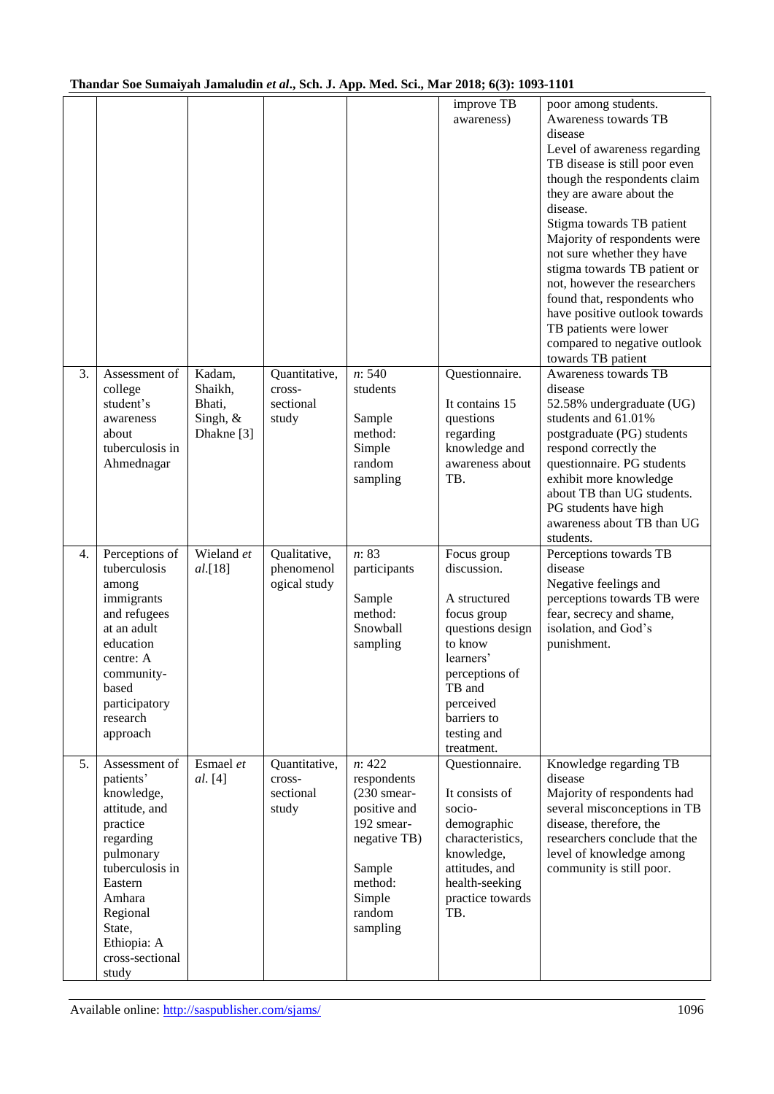|    |                                                                                                                                                                                                          |                                                       |                                               |                                                                                                                                           | improve TB<br>awareness)                                                                                                                                                                   | poor among students.<br>Awareness towards TB<br>disease<br>Level of awareness regarding<br>TB disease is still poor even<br>though the respondents claim<br>they are aware about the<br>disease.<br>Stigma towards TB patient<br>Majority of respondents were<br>not sure whether they have<br>stigma towards TB patient or<br>not, however the researchers<br>found that, respondents who<br>have positive outlook towards<br>TB patients were lower<br>compared to negative outlook<br>towards TB patient |
|----|----------------------------------------------------------------------------------------------------------------------------------------------------------------------------------------------------------|-------------------------------------------------------|-----------------------------------------------|-------------------------------------------------------------------------------------------------------------------------------------------|--------------------------------------------------------------------------------------------------------------------------------------------------------------------------------------------|-------------------------------------------------------------------------------------------------------------------------------------------------------------------------------------------------------------------------------------------------------------------------------------------------------------------------------------------------------------------------------------------------------------------------------------------------------------------------------------------------------------|
| 3. | Assessment of<br>college<br>student's<br>awareness<br>about<br>tuberculosis in<br>Ahmednagar                                                                                                             | Kadam,<br>Shaikh,<br>Bhati,<br>Singh, &<br>Dhakne [3] | Quantitative,<br>cross-<br>sectional<br>study | n: 540<br>students<br>Sample<br>method:<br>Simple<br>random<br>sampling                                                                   | Questionnaire.<br>It contains 15<br>questions<br>regarding<br>knowledge and<br>awareness about<br>TB.                                                                                      | Awareness towards TB<br>disease<br>52.58% undergraduate (UG)<br>students and 61.01%<br>postgraduate (PG) students<br>respond correctly the<br>questionnaire. PG students<br>exhibit more knowledge<br>about TB than UG students.<br>PG students have high<br>awareness about TB than UG<br>students.                                                                                                                                                                                                        |
| 4. | Perceptions of<br>tuberculosis<br>among<br>immigrants<br>and refugees<br>at an adult<br>education<br>centre: A<br>community-<br>based<br>participatory<br>research<br>approach                           | Wieland et<br>al.[18]                                 | Qualitative,<br>phenomenol<br>ogical study    | n: 83<br>participants<br>Sample<br>method:<br>Snowball<br>sampling                                                                        | Focus group<br>discussion.<br>A structured<br>focus group<br>questions design<br>to know<br>learners'<br>perceptions of<br>TB and<br>perceived<br>barriers to<br>testing and<br>treatment. | Perceptions towards TB<br>disease<br>Negative feelings and<br>perceptions towards TB were<br>fear, secrecy and shame,<br>isolation, and God's<br>punishment.                                                                                                                                                                                                                                                                                                                                                |
| 5. | Assessment of<br>patients'<br>knowledge,<br>attitude, and<br>practice<br>regarding<br>pulmonary<br>tuberculosis in<br>Eastern<br>Amhara<br>Regional<br>State,<br>Ethiopia: A<br>cross-sectional<br>study | Esmael et<br><i>al.</i> [4]                           | Quantitative,<br>cross-<br>sectional<br>study | n: 422<br>respondents<br>$(230$ smear-<br>positive and<br>192 smear-<br>negative TB)<br>Sample<br>method:<br>Simple<br>random<br>sampling | Questionnaire.<br>It consists of<br>socio-<br>demographic<br>characteristics,<br>knowledge,<br>attitudes, and<br>health-seeking<br>practice towards<br>TB.                                 | Knowledge regarding TB<br>disease<br>Majority of respondents had<br>several misconceptions in TB<br>disease, therefore, the<br>researchers conclude that the<br>level of knowledge among<br>community is still poor.                                                                                                                                                                                                                                                                                        |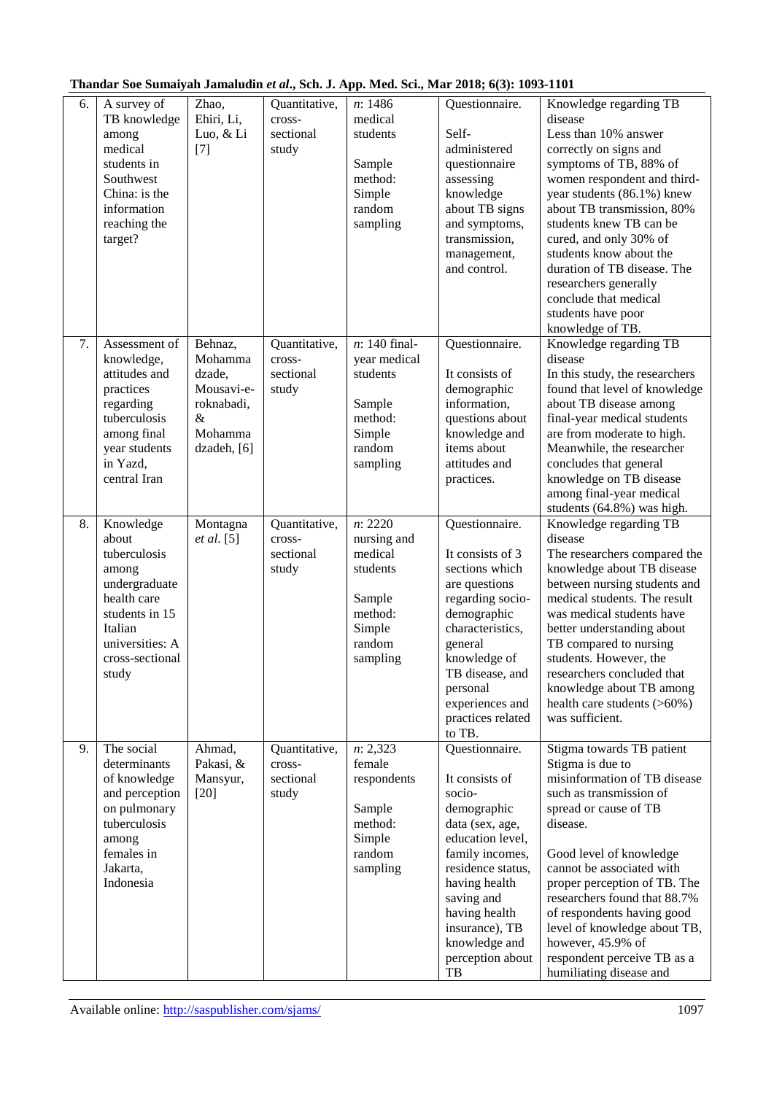|  | Thandar Soe Sumaiyah Jamaludin et al., Sch. J. App. Med. Sci., Mar 2018; 6(3): 1093-1101 |  |
|--|------------------------------------------------------------------------------------------|--|
|--|------------------------------------------------------------------------------------------|--|

| 6. | A survey of<br>TB knowledge<br>among<br>medical<br>students in<br>Southwest<br>China: is the<br>information<br>reaching the<br>target?                  | Zhao,<br>Ehiri, Li,<br>Luo, & Li<br>$[7]$                                                  | Quantitative,<br>cross-<br>sectional<br>study | n: 1486<br>medical<br>students<br>Sample<br>method:<br>Simple<br>random<br>sampling                | Questionnaire.<br>Self-<br>administered<br>questionnaire<br>assessing<br>knowledge<br>about TB signs<br>and symptoms,<br>transmission,<br>management,<br>and control.                                                                                 | Knowledge regarding TB<br>disease<br>Less than 10% answer<br>correctly on signs and<br>symptoms of TB, 88% of<br>women respondent and third-<br>year students (86.1%) knew<br>about TB transmission, 80%<br>students knew TB can be<br>cured, and only 30% of<br>students know about the<br>duration of TB disease. The<br>researchers generally<br>conclude that medical<br>students have poor<br>knowledge of TB. |
|----|---------------------------------------------------------------------------------------------------------------------------------------------------------|--------------------------------------------------------------------------------------------|-----------------------------------------------|----------------------------------------------------------------------------------------------------|-------------------------------------------------------------------------------------------------------------------------------------------------------------------------------------------------------------------------------------------------------|---------------------------------------------------------------------------------------------------------------------------------------------------------------------------------------------------------------------------------------------------------------------------------------------------------------------------------------------------------------------------------------------------------------------|
| 7. | Assessment of<br>knowledge,<br>attitudes and<br>practices<br>regarding<br>tuberculosis<br>among final<br>year students<br>in Yazd.<br>central Iran      | Behnaz,<br>Mohamma<br>dzade,<br>Mousavi-e-<br>roknabadi,<br>$\&$<br>Mohamma<br>dzadeh, [6] | Quantitative,<br>cross-<br>sectional<br>study | $n: 140$ final-<br>year medical<br>students<br>Sample<br>method:<br>Simple<br>random<br>sampling   | Questionnaire.<br>It consists of<br>demographic<br>information,<br>questions about<br>knowledge and<br>items about<br>attitudes and<br>practices.                                                                                                     | Knowledge regarding TB<br>disease<br>In this study, the researchers<br>found that level of knowledge<br>about TB disease among<br>final-year medical students<br>are from moderate to high.<br>Meanwhile, the researcher<br>concludes that general<br>knowledge on TB disease<br>among final-year medical<br>students (64.8%) was high.                                                                             |
| 8. | Knowledge<br>about<br>tuberculosis<br>among<br>undergraduate<br>health care<br>students in 15<br>Italian<br>universities: A<br>cross-sectional<br>study | Montagna<br><i>et al.</i> [5]                                                              | Quantitative,<br>cross-<br>sectional<br>study | n: 2220<br>nursing and<br>medical<br>students<br>Sample<br>method:<br>Simple<br>random<br>sampling | Questionnaire.<br>It consists of 3<br>sections which<br>are questions<br>regarding socio-<br>demographic<br>characteristics,<br>general<br>knowledge of<br>TB disease, and<br>personal<br>experiences and<br>practices related<br>to TB.              | Knowledge regarding TB<br>disease<br>The researchers compared the<br>knowledge about TB disease<br>between nursing students and<br>medical students. The result<br>was medical students have<br>better understanding about<br>TB compared to nursing<br>students. However, the<br>researchers concluded that<br>knowledge about TB among<br>health care students (>60%)<br>was sufficient.                          |
| 9. | The social<br>determinants<br>of knowledge<br>and perception<br>on pulmonary<br>tuberculosis<br>among<br>females in<br>Jakarta,<br>Indonesia            | Ahmad,<br>Pakasi, &<br>Mansyur,<br>$[20]$                                                  | Quantitative,<br>cross-<br>sectional<br>study | n: 2,323<br>female<br>respondents<br>Sample<br>method:<br>Simple<br>random<br>sampling             | Questionnaire.<br>It consists of<br>socio-<br>demographic<br>data (sex, age,<br>education level,<br>family incomes,<br>residence status,<br>having health<br>saving and<br>having health<br>insurance), TB<br>knowledge and<br>perception about<br>TB | Stigma towards TB patient<br>Stigma is due to<br>misinformation of TB disease<br>such as transmission of<br>spread or cause of TB<br>disease.<br>Good level of knowledge<br>cannot be associated with<br>proper perception of TB. The<br>researchers found that 88.7%<br>of respondents having good<br>level of knowledge about TB,<br>however, 45.9% of<br>respondent perceive TB as a<br>humiliating disease and  |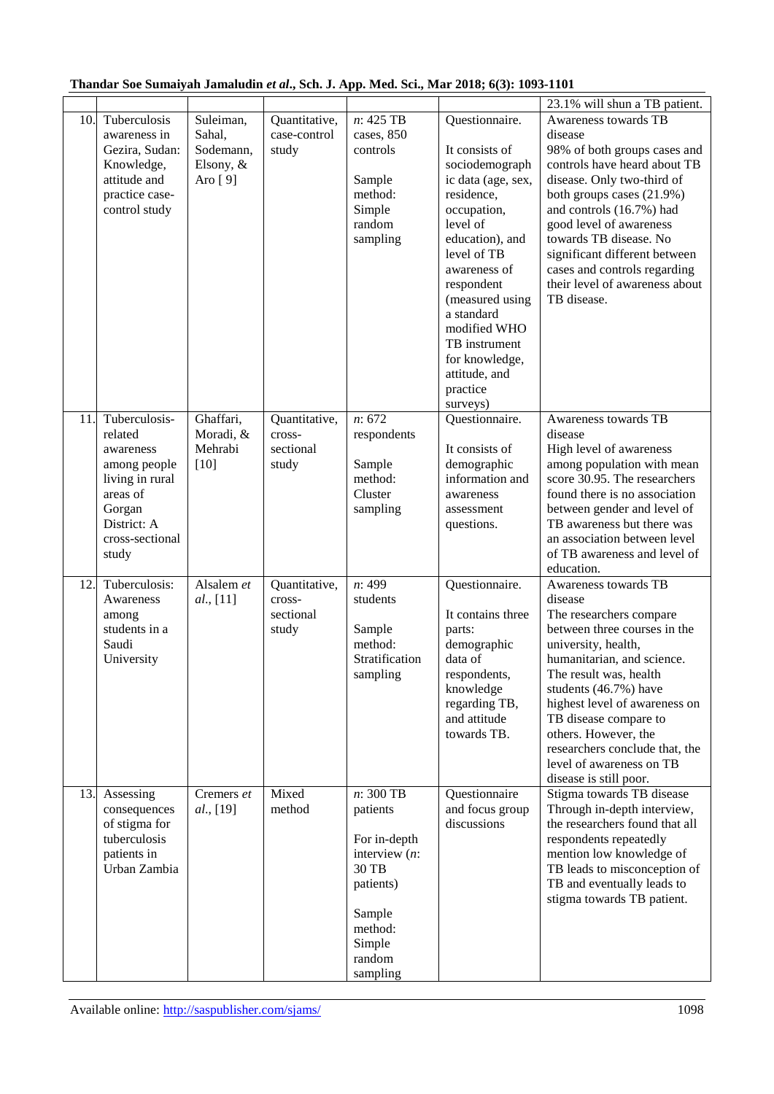|     |                                                                                                                                           |                                                          |                                               |                                                                                                                                         |                                                                                                                                                                                                                                                                                                                | 23.1% will shun a TB patient.                                                                                                                                                                                                                                                                                                                                                |
|-----|-------------------------------------------------------------------------------------------------------------------------------------------|----------------------------------------------------------|-----------------------------------------------|-----------------------------------------------------------------------------------------------------------------------------------------|----------------------------------------------------------------------------------------------------------------------------------------------------------------------------------------------------------------------------------------------------------------------------------------------------------------|------------------------------------------------------------------------------------------------------------------------------------------------------------------------------------------------------------------------------------------------------------------------------------------------------------------------------------------------------------------------------|
| 10. | Tuberculosis<br>awareness in<br>Gezira, Sudan:<br>Knowledge,<br>attitude and<br>practice case-<br>control study                           | Suleiman,<br>Sahal,<br>Sodemann,<br>Elsony, &<br>Aro [9] | Quantitative,<br>case-control<br>study        | $n: 425$ TB<br>cases, 850<br>controls<br>Sample<br>method:<br>Simple<br>random<br>sampling                                              | Questionnaire.<br>It consists of<br>sociodemograph<br>ic data (age, sex,<br>residence,<br>occupation,<br>level of<br>education), and<br>level of TB<br>awareness of<br>respondent<br>(measured using<br>a standard<br>modified WHO<br>TB instrument<br>for knowledge,<br>attitude, and<br>practice<br>surveys) | Awareness towards TB<br>disease<br>98% of both groups cases and<br>controls have heard about TB<br>disease. Only two-third of<br>both groups cases (21.9%)<br>and controls (16.7%) had<br>good level of awareness<br>towards TB disease. No<br>significant different between<br>cases and controls regarding<br>their level of awareness about<br>TB disease.                |
| 11. | Tuberculosis-<br>related<br>awareness<br>among people<br>living in rural<br>areas of<br>Gorgan<br>District: A<br>cross-sectional<br>study | Ghaffari,<br>Moradi, &<br>Mehrabi<br>$[10]$              | Quantitative,<br>cross-<br>sectional<br>study | n: 672<br>respondents<br>Sample<br>method:<br>Cluster<br>sampling                                                                       | Questionnaire.<br>It consists of<br>demographic<br>information and<br>awareness<br>assessment<br>questions.                                                                                                                                                                                                    | Awareness towards TB<br>disease<br>High level of awareness<br>among population with mean<br>score 30.95. The researchers<br>found there is no association<br>between gender and level of<br>TB awareness but there was<br>an association between level<br>of TB awareness and level of<br>education.                                                                         |
| 12. | Tuberculosis:<br>Awareness<br>among<br>students in a<br>Saudi<br>University                                                               | Alsalem et<br>al., [11]                                  | Quantitative,<br>cross-<br>sectional<br>study | n: 499<br>students<br>Sample<br>method:<br>Stratification<br>sampling                                                                   | Questionnaire.<br>It contains three<br>parts:<br>demographic<br>data of<br>respondents,<br>knowledge<br>regarding TB,<br>and attitude<br>towards TB.                                                                                                                                                           | Awareness towards TB<br>disease<br>The researchers compare<br>between three courses in the<br>university, health,<br>humanitarian, and science.<br>The result was, health<br>students (46.7%) have<br>highest level of awareness on<br>TB disease compare to<br>others. However, the<br>researchers conclude that, the<br>level of awareness on TB<br>disease is still poor. |
| 13. | Assessing<br>consequences<br>of stigma for<br>tuberculosis<br>patients in<br>Urban Zambia                                                 | Cremers et<br>al., [19]                                  | Mixed<br>method                               | $n: 300$ TB<br>patients<br>For in-depth<br>interview $(n)$ :<br>30 TB<br>patients)<br>Sample<br>method:<br>Simple<br>random<br>sampling | Questionnaire<br>and focus group<br>discussions                                                                                                                                                                                                                                                                | Stigma towards TB disease<br>Through in-depth interview,<br>the researchers found that all<br>respondents repeatedly<br>mention low knowledge of<br>TB leads to misconception of<br>TB and eventually leads to<br>stigma towards TB patient.                                                                                                                                 |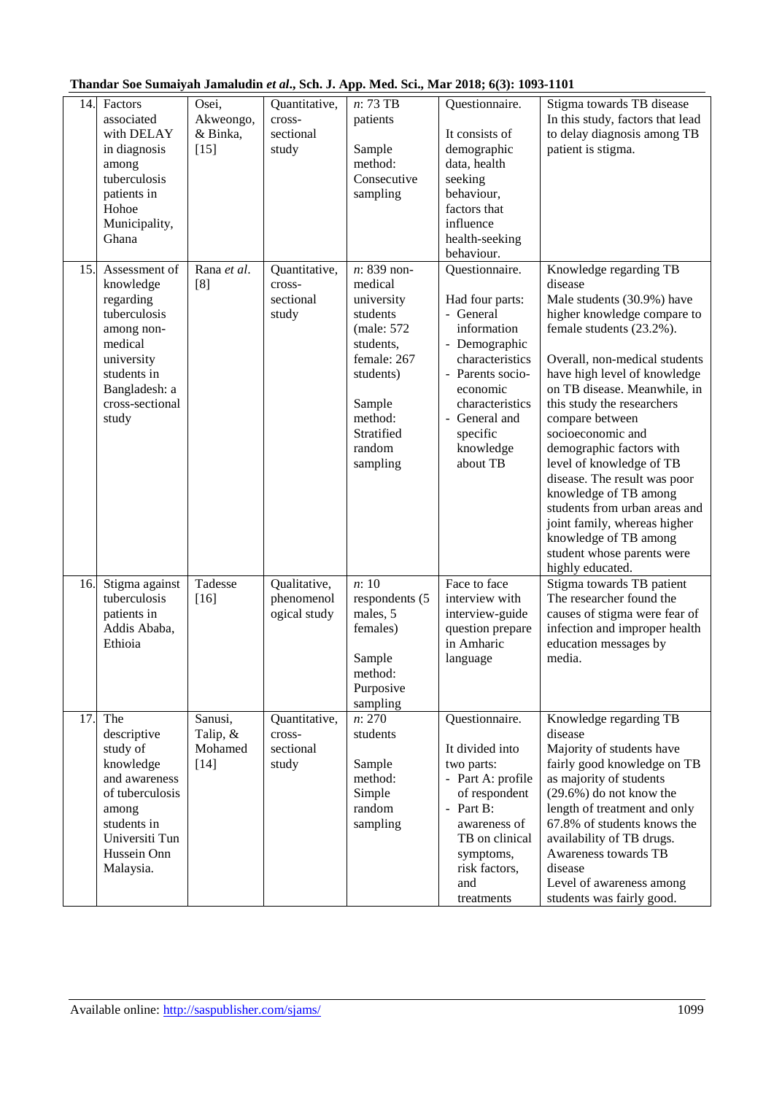| 14. | Factors<br>associated<br>with DELAY<br>in diagnosis<br>among<br>tuberculosis<br>patients in<br>Hohoe<br>Municipality,<br>Ghana                             | Osei,<br>Akweongo,<br>& Binka,<br>$[15]$ | Quantitative,<br>cross-<br>sectional<br>study | n: 73 TB<br>patients<br>Sample<br>method:<br>Consecutive<br>sampling                                                                                              | Questionnaire.<br>It consists of<br>demographic<br>data, health<br>seeking<br>behaviour,<br>factors that<br>influence<br>health-seeking<br>behaviour.                                                      | Stigma towards TB disease<br>In this study, factors that lead<br>to delay diagnosis among TB<br>patient is stigma.                                                                                                                                                                                                                                                                                                                                                                                                                                             |
|-----|------------------------------------------------------------------------------------------------------------------------------------------------------------|------------------------------------------|-----------------------------------------------|-------------------------------------------------------------------------------------------------------------------------------------------------------------------|------------------------------------------------------------------------------------------------------------------------------------------------------------------------------------------------------------|----------------------------------------------------------------------------------------------------------------------------------------------------------------------------------------------------------------------------------------------------------------------------------------------------------------------------------------------------------------------------------------------------------------------------------------------------------------------------------------------------------------------------------------------------------------|
| 15. | Assessment of<br>knowledge<br>regarding<br>tuberculosis<br>among non-<br>medical<br>university<br>students in<br>Bangladesh: a<br>cross-sectional<br>study | Rana et al.<br>[8]                       | Quantitative,<br>cross-<br>sectional<br>study | n: 839 non-<br>medical<br>university<br>students<br>(male: 572)<br>students,<br>female: 267<br>students)<br>Sample<br>method:<br>Stratified<br>random<br>sampling | Questionnaire.<br>Had four parts:<br>- General<br>information<br>- Demographic<br>characteristics<br>- Parents socio-<br>economic<br>characteristics<br>- General and<br>specific<br>knowledge<br>about TB | Knowledge regarding TB<br>disease<br>Male students (30.9%) have<br>higher knowledge compare to<br>female students (23.2%).<br>Overall, non-medical students<br>have high level of knowledge<br>on TB disease. Meanwhile, in<br>this study the researchers<br>compare between<br>socioeconomic and<br>demographic factors with<br>level of knowledge of TB<br>disease. The result was poor<br>knowledge of TB among<br>students from urban areas and<br>joint family, whereas higher<br>knowledge of TB among<br>student whose parents were<br>highly educated. |
| 16. | Stigma against<br>tuberculosis<br>patients in<br>Addis Ababa,<br>Ethioia                                                                                   | Tadesse<br>$[16]$                        | Qualitative,<br>phenomenol<br>ogical study    | n:10<br>respondents (5<br>males, 5<br>females)<br>Sample<br>method:<br>Purposive<br>sampling                                                                      | Face to face<br>interview with<br>interview-guide<br>question prepare<br>in Amharic<br>language                                                                                                            | Stigma towards TB patient<br>The researcher found the<br>causes of stigma were fear of<br>infection and improper health<br>education messages by<br>media.                                                                                                                                                                                                                                                                                                                                                                                                     |
| 17. | The<br>descriptive<br>study of<br>knowledge<br>and awareness<br>of tuberculosis<br>among<br>students in<br>Universiti Tun<br>Hussein Onn<br>Malaysia.      | Sanusi,<br>Talip, &<br>Mohamed<br>$[14]$ | Quantitative,<br>cross-<br>sectional<br>study | n: 270<br>students<br>Sample<br>method:<br>Simple<br>random<br>sampling                                                                                           | Questionnaire.<br>It divided into<br>two parts:<br>- Part A: profile<br>of respondent<br>- Part $B$ :<br>awareness of<br>TB on clinical<br>symptoms,<br>risk factors,<br>and<br>treatments                 | Knowledge regarding TB<br>disease<br>Majority of students have<br>fairly good knowledge on TB<br>as majority of students<br>$(29.6\%)$ do not know the<br>length of treatment and only<br>67.8% of students knows the<br>availability of TB drugs.<br>Awareness towards TB<br>disease<br>Level of awareness among<br>students was fairly good.                                                                                                                                                                                                                 |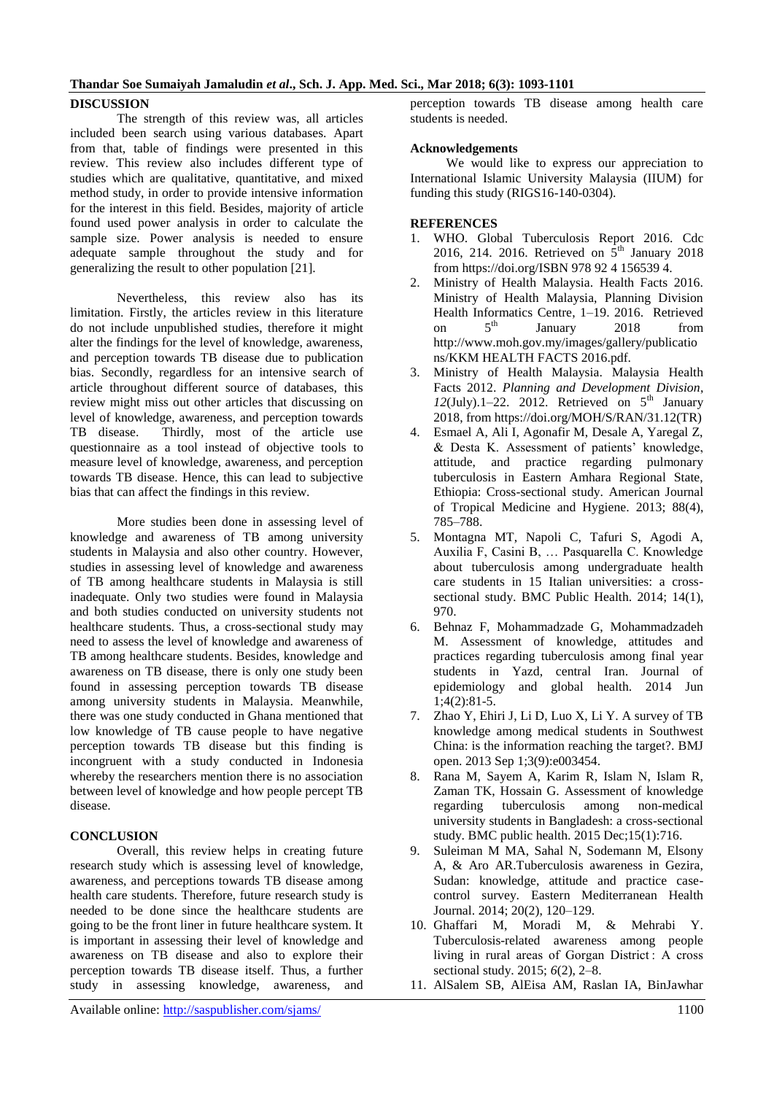### **DISCUSSION**

The strength of this review was, all articles included been search using various databases. Apart from that, table of findings were presented in this review. This review also includes different type of studies which are qualitative, quantitative, and mixed method study, in order to provide intensive information for the interest in this field. Besides, majority of article found used power analysis in order to calculate the sample size. Power analysis is needed to ensure adequate sample throughout the study and for generalizing the result to other population [21].

Nevertheless, this review also has its limitation. Firstly, the articles review in this literature do not include unpublished studies, therefore it might alter the findings for the level of knowledge, awareness, and perception towards TB disease due to publication bias. Secondly, regardless for an intensive search of article throughout different source of databases, this review might miss out other articles that discussing on level of knowledge, awareness, and perception towards TB disease. Thirdly, most of the article use questionnaire as a tool instead of objective tools to measure level of knowledge, awareness, and perception towards TB disease. Hence, this can lead to subjective bias that can affect the findings in this review.

More studies been done in assessing level of knowledge and awareness of TB among university students in Malaysia and also other country. However, studies in assessing level of knowledge and awareness of TB among healthcare students in Malaysia is still inadequate. Only two studies were found in Malaysia and both studies conducted on university students not healthcare students. Thus, a cross-sectional study may need to assess the level of knowledge and awareness of TB among healthcare students. Besides, knowledge and awareness on TB disease, there is only one study been found in assessing perception towards TB disease among university students in Malaysia. Meanwhile, there was one study conducted in Ghana mentioned that low knowledge of TB cause people to have negative perception towards TB disease but this finding is incongruent with a study conducted in Indonesia whereby the researchers mention there is no association between level of knowledge and how people percept TB disease.

## **CONCLUSION**

Overall, this review helps in creating future research study which is assessing level of knowledge, awareness, and perceptions towards TB disease among health care students. Therefore, future research study is needed to be done since the healthcare students are going to be the front liner in future healthcare system. It is important in assessing their level of knowledge and awareness on TB disease and also to explore their perception towards TB disease itself. Thus, a further study in assessing knowledge, awareness, and

perception towards TB disease among health care students is needed.

### **Acknowledgements**

 We would like to express our appreciation to International Islamic University Malaysia (IIUM) for funding this study (RIGS16-140-0304).

#### **REFERENCES**

- 1. WHO. Global Tuberculosis Report 2016. Cdc 2016, 214. 2016. Retrieved on  $\dot{5}^{\text{th}}$  January 2018 from https://doi.org/ISBN 978 92 4 156539 4.
- 2. Ministry of Health Malaysia. Health Facts 2016. Ministry of Health Malaysia, Planning Division Health Informatics Centre, 1–19. 2016. Retrieved<br>on  $5^{th}$  January 2018 from on  $5<sup>th</sup>$  January 2018 from http://www.moh.gov.my/images/gallery/publicatio ns/KKM HEALTH FACTS 2016.pdf.
- 3. Ministry of Health Malaysia. Malaysia Health Facts 2012. *Planning and Development Division*,  $12$ (July).1–22. 2012. Retrieved on  $5<sup>th</sup>$  January 2018, from https://doi.org/MOH/S/RAN/31.12(TR)
- 4. Esmael A, Ali I, Agonafir M, Desale A, Yaregal Z, & Desta K. Assessment of patients' knowledge, attitude, and practice regarding pulmonary tuberculosis in Eastern Amhara Regional State, Ethiopia: Cross-sectional study. American Journal of Tropical Medicine and Hygiene. 2013; 88(4), 785–788.
- 5. Montagna MT, Napoli C, Tafuri S, Agodi A, Auxilia F, Casini B, … Pasquarella C. Knowledge about tuberculosis among undergraduate health care students in 15 Italian universities: a crosssectional study. BMC Public Health. 2014; 14(1), 970.
- 6. Behnaz F, Mohammadzade G, Mohammadzadeh M. Assessment of knowledge, attitudes and practices regarding tuberculosis among final year students in Yazd, central Iran. Journal of epidemiology and global health. 2014 Jun 1;4(2):81-5.
- 7. Zhao Y, Ehiri J, Li D, Luo X, Li Y. A survey of TB knowledge among medical students in Southwest China: is the information reaching the target?. BMJ open. 2013 Sep 1;3(9):e003454.
- 8. Rana M, Sayem A, Karim R, Islam N, Islam R, Zaman TK, Hossain G. Assessment of knowledge regarding tuberculosis among non-medical university students in Bangladesh: a cross-sectional study. BMC public health. 2015 Dec;15(1):716.
- 9. Suleiman M MA, Sahal N, Sodemann M, Elsony A, & Aro AR.Tuberculosis awareness in Gezira, Sudan: knowledge, attitude and practice casecontrol survey. Eastern Mediterranean Health Journal. 2014; 20(2), 120–129.
- 10. Ghaffari M, Moradi M, & Mehrabi Y. Tuberculosis-related awareness among people living in rural areas of Gorgan District : A cross sectional study. 2015; *6*(2), 2–8.
- 11. AlSalem SB, AlEisa AM, Raslan IA, BinJawhar